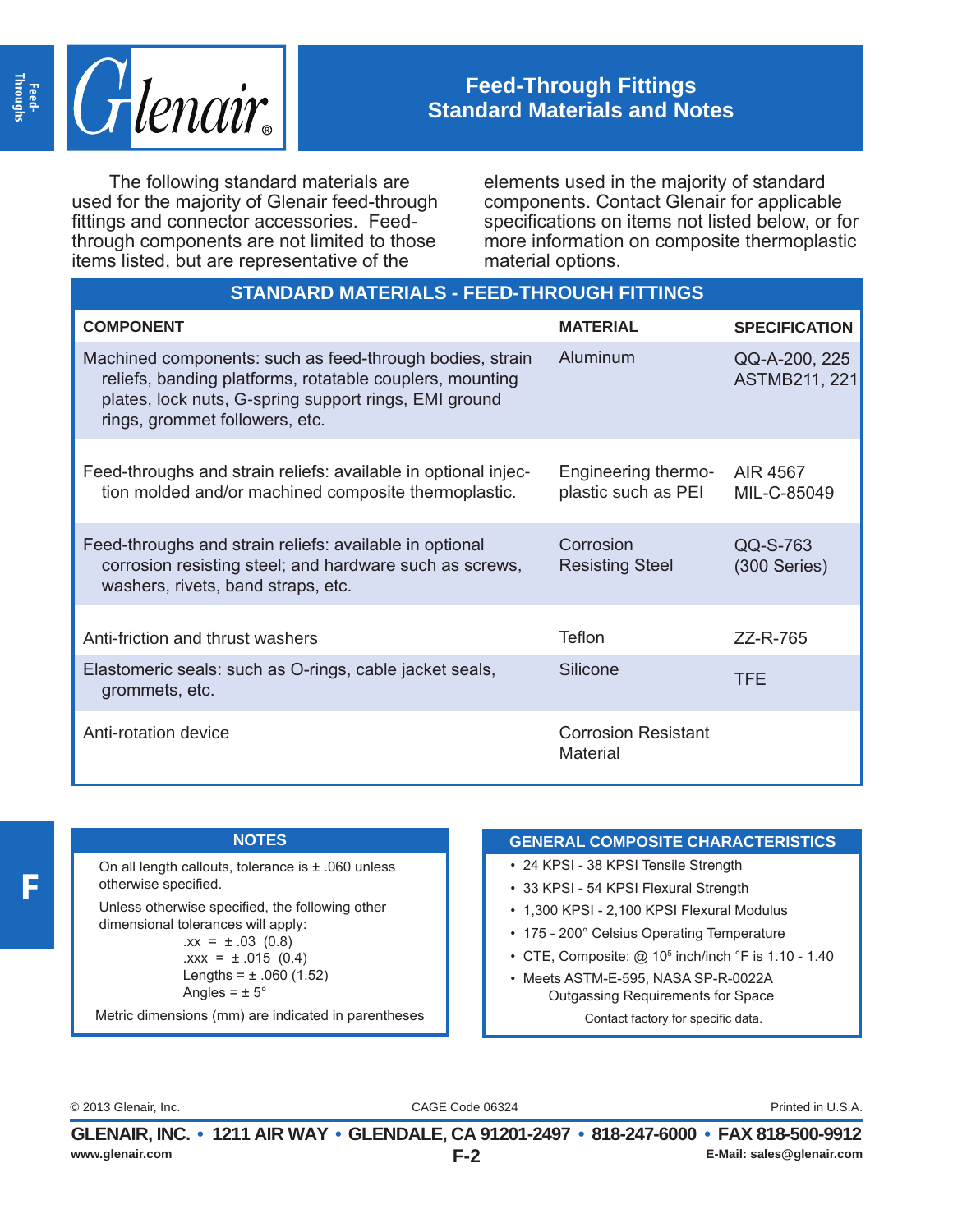

## **Feed-Through Fittings Standard Materials and Notes**

The following standard materials are used for the majority of Glenair feed-through fittings and connector accessories. Feedthrough components are not limited to those items listed, but are representative of the

elements used in the majority of standard components. Contact Glenair for applicable specifications on items not listed below, or for more information on composite thermoplastic material options.

| <b>STANDARD MATERIALS - FEED-THROUGH FITTINGS</b>                                                                                                                                                               |                                               |                                       |  |
|-----------------------------------------------------------------------------------------------------------------------------------------------------------------------------------------------------------------|-----------------------------------------------|---------------------------------------|--|
| <b>COMPONENT</b>                                                                                                                                                                                                | <b>MATERIAL</b>                               | <b>SPECIFICATION</b>                  |  |
| Machined components: such as feed-through bodies, strain<br>reliefs, banding platforms, rotatable couplers, mounting<br>plates, lock nuts, G-spring support rings, EMI ground<br>rings, grommet followers, etc. | Aluminum                                      | QQ-A-200, 225<br><b>ASTMB211, 221</b> |  |
| Feed-throughs and strain reliefs: available in optional injec-<br>tion molded and/or machined composite thermoplastic.                                                                                          | Engineering thermo-<br>plastic such as PEI    | AIR 4567<br>MIL-C-85049               |  |
| Feed-throughs and strain reliefs: available in optional<br>corrosion resisting steel; and hardware such as screws,<br>washers, rivets, band straps, etc.                                                        | Corrosion<br><b>Resisting Steel</b>           | QQ-S-763<br>$(300$ Series)            |  |
| Anti-friction and thrust washers                                                                                                                                                                                | Teflon                                        | ZZ-R-765                              |  |
| Elastomeric seals: such as O-rings, cable jacket seals,<br>grommets, etc.                                                                                                                                       | Silicone                                      | <b>TFE</b>                            |  |
| Anti-rotation device                                                                                                                                                                                            | <b>Corrosion Resistant</b><br><b>Material</b> |                                       |  |

## **NOTES**

On all length callouts, tolerance is ± .060 unless otherwise specified. Unless otherwise specified, the following other

dimensional tolerances will apply:  $.xx = \pm .03$  (0.8)  $.xxx = ± .015 (0.4)$ Lengths =  $\pm$  .060 (1.52) Angles =  $\pm$  5°

Metric dimensions (mm) are indicated in parentheses

## **GENERAL COMPOSITE CHARACTERISTICS**

- 24 KPSI 38 KPSI Tensile Strength
- 33 KPSI 54 KPSI Flexural Strength
- 1,300 KPSI 2,100 KPSI Flexural Modulus
- 175 200° Celsius Operating Temperature
- CTE, Composite: @ 10<sup>5</sup> inch/inch °F is 1.10 1.40
- Meets ASTM-E-595, NASA SP-R-0022A Outgassing Requirements for Space Contact factory for specific data.

CAGE Code 06324 © 2013 Glenair, Inc. Printed in U.S.A.